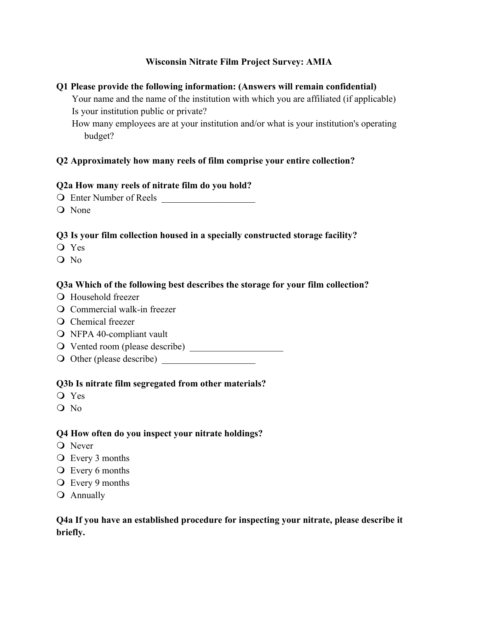### **Wisconsin Nitrate Film Project Survey: AMIA**

#### **Q1 Please provide the following information: (Answers will remain confidential)**

Your name and the name of the institution with which you are affiliated (if applicable) Is your institution public or private?

How many employees are at your institution and/or what is your institution's operating budget?

### **Q2 Approximately how many reels of film comprise your entire collection?**

### **Q2a How many reels of nitrate film do you hold?**

- O Enter Number of Reels
- O None

### **Q3 Is your film collection housed in a specially constructed storage facility?**

- O Yes
- $O$  No

### **Q3a Which of the following best describes the storage for your film collection?**

- **Q** Household freezer
- O Commercial walk-in freezer
- O Chemical freezer
- O NFPA 40-compliant vault
- O Vented room (please describe)
- ! Other (please describe) \_\_\_\_\_\_\_\_\_\_\_\_\_\_\_\_\_\_\_\_

#### **Q3b Is nitrate film segregated from other materials?**

- O Yes
- $O$  No

#### **Q4 How often do you inspect your nitrate holdings?**

- **O** Never
- O Every 3 months
- **Q** Every 6 months
- O Every 9 months
- **O** Annually

### **Q4a If you have an established procedure for inspecting your nitrate, please describe it briefly.**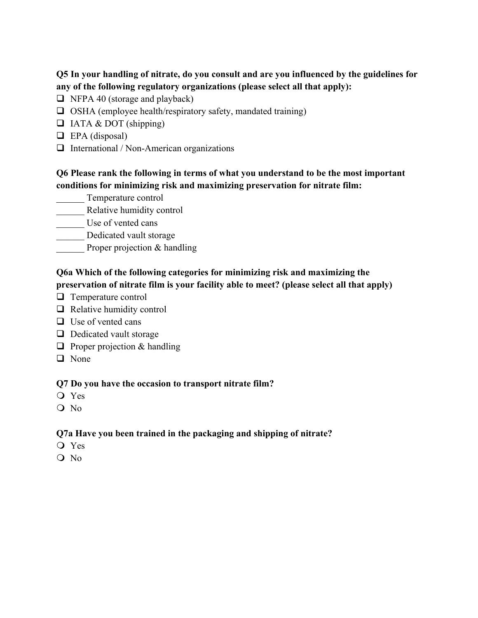## **Q5 In your handling of nitrate, do you consult and are you influenced by the guidelines for any of the following regulatory organizations (please select all that apply):**

- $\Box$  NFPA 40 (storage and playback)
- $\Box$  OSHA (employee health/respiratory safety, mandated training)
- $\Box$  IATA & DOT (shipping)
- $\Box$  EPA (disposal)
- $\Box$  International / Non-American organizations

### **Q6 Please rank the following in terms of what you understand to be the most important conditions for minimizing risk and maximizing preservation for nitrate film:**

- \_\_\_\_\_\_ Temperature control
- Relative humidity control
- \_\_\_\_\_\_ Use of vented cans
- Dedicated vault storage
- Proper projection & handling

## **Q6a Which of the following categories for minimizing risk and maximizing the preservation of nitrate film is your facility able to meet? (please select all that apply)**

- $\Box$  Temperature control
- $\Box$  Relative humidity control
- $\Box$  Use of vented cans
- $\Box$  Dedicated vault storage
- $\Box$  Proper projection & handling
- $\Box$  None

### **Q7 Do you have the occasion to transport nitrate film?**

- O Yes
- $\overline{O}$  No

## **Q7a Have you been trained in the packaging and shipping of nitrate?**

- O Yes
- $O$  No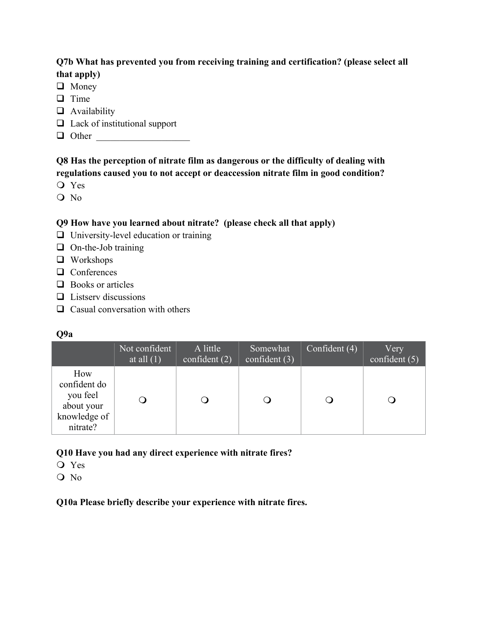## **Q7b What has prevented you from receiving training and certification? (please select all that apply)**

- $\Box$  Money
- $\Box$  Time
- $\Box$  Availability
- $\Box$  Lack of institutional support
- " Other \_\_\_\_\_\_\_\_\_\_\_\_\_\_\_\_\_\_\_\_

## **Q8 Has the perception of nitrate film as dangerous or the difficulty of dealing with regulations caused you to not accept or deaccession nitrate film in good condition?**

- O Yes
- O No

# **Q9 How have you learned about nitrate? (please check all that apply)**

- $\Box$  University-level education or training
- $\Box$  On-the-Job training
- $\Box$  Workshops
- $\Box$  Conferences
- $\Box$  Books or articles
- $\Box$  Listserv discussions
- $\Box$  Casual conversation with others

|                                                                           | Not confident<br>at all $(1)$ | A little<br>confident $(2)$ | Somewhat<br>confident $(3)$ | Confident $\overline{(4)}$ | Very<br>confident (5) |
|---------------------------------------------------------------------------|-------------------------------|-----------------------------|-----------------------------|----------------------------|-----------------------|
| How<br>confident do<br>you feel<br>about your<br>knowledge of<br>nitrate? |                               | $\cup$                      |                             |                            |                       |

## **Q10 Have you had any direct experience with nitrate fires?**

- ! Yes
- O No

**Q10a Please briefly describe your experience with nitrate fires.**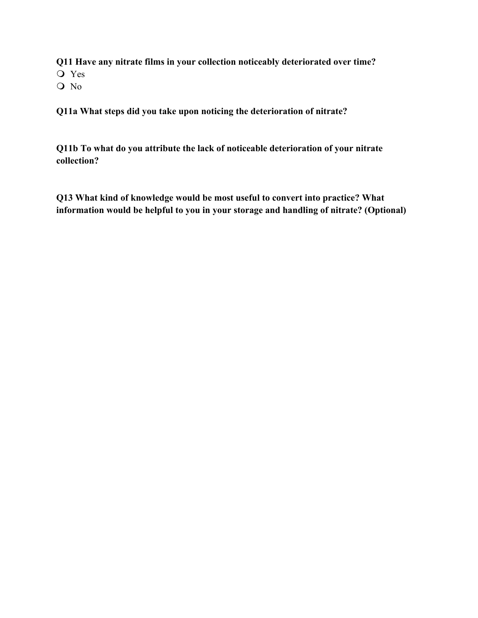**Q11 Have any nitrate films in your collection noticeably deteriorated over time?** O Yes O No

**Q11a What steps did you take upon noticing the deterioration of nitrate?**

**Q11b To what do you attribute the lack of noticeable deterioration of your nitrate collection?**

**Q13 What kind of knowledge would be most useful to convert into practice? What information would be helpful to you in your storage and handling of nitrate? (Optional)**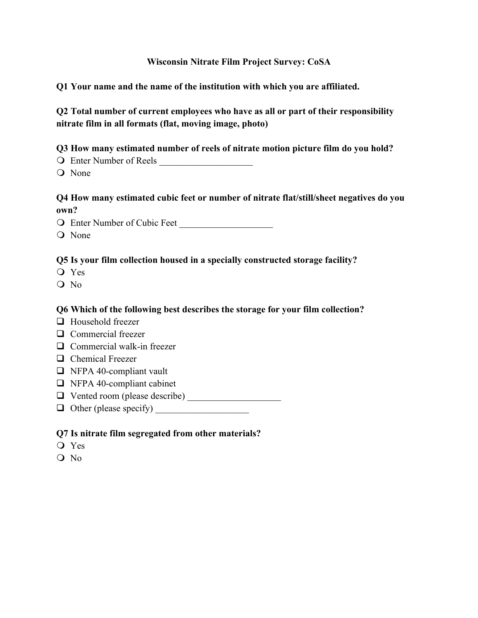#### **Wisconsin Nitrate Film Project Survey: CoSA**

**Q1 Your name and the name of the institution with which you are affiliated.**

**Q2 Total number of current employees who have as all or part of their responsibility nitrate film in all formats (flat, moving image, photo)**

**Q3 How many estimated number of reels of nitrate motion picture film do you hold?**

- $\bigcirc$  Enter Number of Reels
- O None

## **Q4 How many estimated cubic feet or number of nitrate flat/still/sheet negatives do you own?**

O Enter Number of Cubic Feet

O None

### **Q5 Is your film collection housed in a specially constructed storage facility?**

- O Yes
- O No

### **Q6 Which of the following best describes the storage for your film collection?**

- $\Box$  Household freezer
- $\Box$  Commercial freezer
- $\Box$  Commercial walk-in freezer
- $\Box$  Chemical Freezer
- $\Box$  NFPA 40-compliant vault
- $\Box$  NFPA 40-compliant cabinet
- T Vented room (please describe)
- $\Box$  Other (please specify)

### **Q7 Is nitrate film segregated from other materials?**

- O Yes
- O No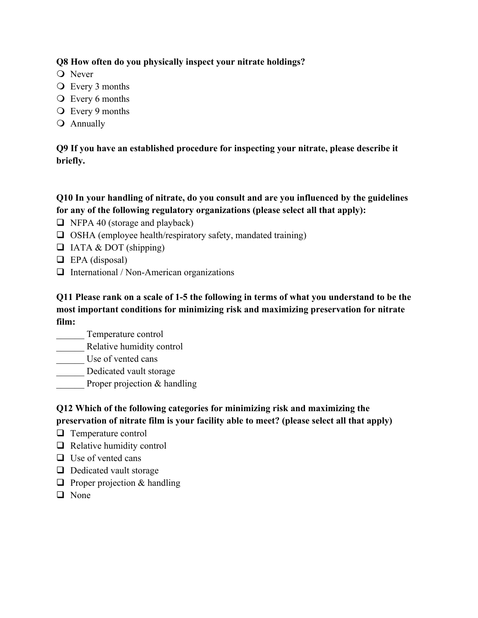## **Q8 How often do you physically inspect your nitrate holdings?**

- O Never
- O Every 3 months
- O Every 6 months
- O Every 9 months
- **O** Annually

**Q9 If you have an established procedure for inspecting your nitrate, please describe it briefly.**

## **Q10 In your handling of nitrate, do you consult and are you influenced by the guidelines for any of the following regulatory organizations (please select all that apply):**

- $\Box$  NFPA 40 (storage and playback)
- $\Box$  OSHA (employee health/respiratory safety, mandated training)
- $\Box$  IATA & DOT (shipping)
- $\Box$  EPA (disposal)
- $\Box$  International / Non-American organizations

**Q11 Please rank on a scale of 1-5 the following in terms of what you understand to be the most important conditions for minimizing risk and maximizing preservation for nitrate film:**

- \_\_\_\_\_\_ Temperature control
- \_\_\_\_\_\_ Relative humidity control
- Use of vented cans
- \_\_\_\_\_\_ Dedicated vault storage
- Proper projection & handling

**Q12 Which of the following categories for minimizing risk and maximizing the preservation of nitrate film is your facility able to meet? (please select all that apply)**

- $\Box$  Temperature control
- $\Box$  Relative humidity control
- $\Box$  Use of vented cans
- $\Box$  Dedicated vault storage
- $\Box$  Proper projection & handling
- $\Box$  None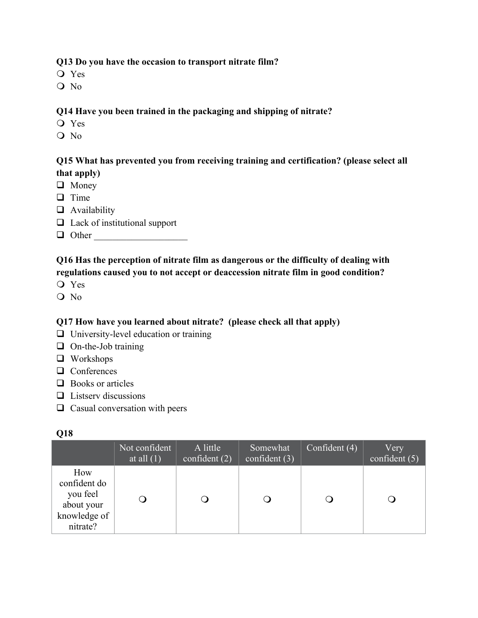### **Q13 Do you have the occasion to transport nitrate film?**

- ! Yes
- O No

### **Q14 Have you been trained in the packaging and shipping of nitrate?**

- ! Yes
- $O$  No

## **Q15 What has prevented you from receiving training and certification? (please select all that apply)**

- $\Box$  Money
- $\Box$  Time
- $\Box$  Availability
- $\Box$  Lack of institutional support
- $\Box$  Other

# **Q16 Has the perception of nitrate film as dangerous or the difficulty of dealing with regulations caused you to not accept or deaccession nitrate film in good condition?**

- ! Yes
- O No

## **Q17 How have you learned about nitrate? (please check all that apply)**

- $\Box$  University-level education or training
- $\Box$  On-the-Job training
- $\Box$  Workshops
- $\Box$  Conferences
- $\Box$  Books or articles
- $\Box$  Listserv discussions
- $\Box$  Casual conversation with peers

### **Q18**

|                                                                           | Not confident<br>at all $(1)$ | A little<br>confident $(2)$ | Somewhat<br>confident $(3)$ | Confident $(4)$ | Very<br>confident (5) |
|---------------------------------------------------------------------------|-------------------------------|-----------------------------|-----------------------------|-----------------|-----------------------|
| How<br>confident do<br>you feel<br>about your<br>knowledge of<br>nitrate? |                               |                             |                             |                 |                       |